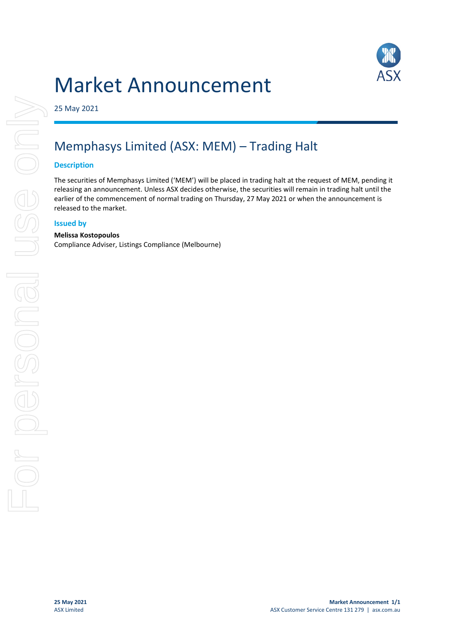# Market Announcement



25 May 2021

### Memphasys Limited (ASX: MEM) – Trading Halt

#### **Description**

The securities of Memphasys Limited ('MEM') will be placed in trading halt at the request of MEM, pending it releasing an announcement. Unless ASX decides otherwise, the securities will remain in trading halt until the earlier of the commencement of normal trading on Thursday, 27 May 2021 or when the announcement is released to the market.

#### **Issued by**

#### **Melissa Kostopoulos**

Compliance Adviser, Listings Compliance (Melbourne)